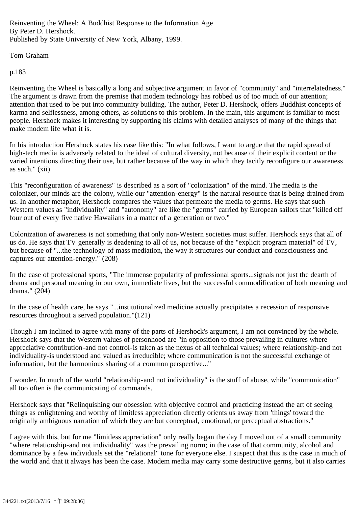Reinventing the Wheel: A Buddhist Response to the Information Age By Peter D. Hershock. Published by State University of New York, Albany, 1999.

## Tom Graham

## p.183

Reinventing the Wheel is basically a long and subjective argument in favor of "community" and "interrelatedness." The argument is drawn from the premise that modem technology has robbed us of too much of our attention; attention that used to be put into community building. The author, Peter D. Hershock, offers Buddhist concepts of karma and selflessness, among others, as solutions to this problem. In the main, this argument is familiar to most people. Hershock makes it interesting by supporting his claims with detailed analyses of many of the things that make modem life what it is.

In his introduction Hershock states his case like this: "In what follows, I want to argue that the rapid spread of high-tech media is adversely related to the ideal of cultural diversity, not because of their explicit content or the varied intentions directing their use, but rather because of the way in which they tacitly reconfigure our awareness as such." (xii)

This "reconfiguration of awareness" is described as a sort of "colonization" of the mind. The media is the colonizer, our minds are the colony, while our "attention-energy" is the natural resource that is being drained from us. In another metaphor, Hershock compares the values that permeate the media to germs. He says that such Western values as "individuality" and "autonomy" are like the "germs" carried by European sailors that "killed off four out of every five native Hawaiians in a matter of a generation or two."

Colonization of awareness is not something that only non-Western societies must suffer. Hershock says that all of us do. He says that TV generally is deadening to all of us, not because of the "explicit program material" of TV, but because of "...the technology of mass mediation, the way it structures our conduct and consciousness and captures our attention-energy." (208)

In the case of professional sports, "The immense popularity of professional sports...signals not just the dearth of drama and personal meaning in our own, immediate lives, but the successful commodification of both meaning and drama." (204)

In the case of health care, he says "...institutionalized medicine actually precipitates a recession of responsive resources throughout a served population."(121)

Though I am inclined to agree with many of the parts of Hershock's argument, I am not convinced by the whole. Hershock says that the Western values of personhood are "in opposition to those prevailing in cultures where appreciative contribution-and not control-is taken as the nexus of all technical values; where relationship-and not individuality-is understood and valued as irreducible; where communication is not the successful exchange of information, but the harmonious sharing of a common perspective..."

I wonder. In much of the world "relationship-and not individuality" is the stuff of abuse, while "communication" all too often is the communicating of commands.

Hershock says that "Relinquishing our obsession with objective control and practicing instead the art of seeing things as enlightening and worthy of limitless appreciation directly orients us away from 'things' toward the originally ambiguous narration of which they are but conceptual, emotional, or perceptual abstractions."

I agree with this, but for me "limitless appreciation" only really began the day I moved out of a small community "where relationship-and not individuality" was the prevailing norm; in the case of that community, alcohol and dominance by a few individuals set the "relational" tone for everyone else. I suspect that this is the case in much of the world and that it always has been the case. Modem media may carry some destructive germs, but it also carries